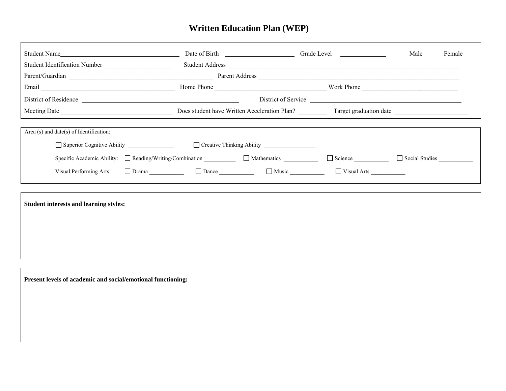## **Written Education Plan (WEP)**

J

|                                                                                                                                                                                                                                | Student Address |                     | Male | Female |
|--------------------------------------------------------------------------------------------------------------------------------------------------------------------------------------------------------------------------------|-----------------|---------------------|------|--------|
|                                                                                                                                                                                                                                |                 |                     |      |        |
| Email North December 2014 North December 2014 North December 2014 North December 2014 10:00 North Phone 2014 10:00 North December 2014 10:00 North December 2014 10:00 North December 2014 10:00 North December 2014 10:00 Nor |                 |                     |      |        |
| District of Residence                                                                                                                                                                                                          |                 | District of Service |      |        |
|                                                                                                                                                                                                                                |                 |                     |      |        |
| Area $(s)$ and date $(s)$ of Identification:                                                                                                                                                                                   |                 |                     |      |        |
| Superior Cognitive Ability                                                                                                                                                                                                     |                 |                     |      |        |
| Specific Academic Ability: Reading/Writing/Combination Mathematics Reading Science Reading Social Studies Reading                                                                                                              |                 |                     |      |        |
| $\frac{\text{Visual Performing Arts}}{\text{Original Performing Arts}}$ $\Box$ Drama $\Box$ $\Box$ Dance $\Box$ $\Box$ Music $\Box$ $\Box$ Visual Arts $\Box$                                                                  |                 |                     |      |        |
|                                                                                                                                                                                                                                |                 |                     |      |        |
| <b>Student interests and learning styles:</b>                                                                                                                                                                                  |                 |                     |      |        |
|                                                                                                                                                                                                                                |                 |                     |      |        |
|                                                                                                                                                                                                                                |                 |                     |      |        |
|                                                                                                                                                                                                                                |                 |                     |      |        |

**Present levels of academic and social/emotional functioning:**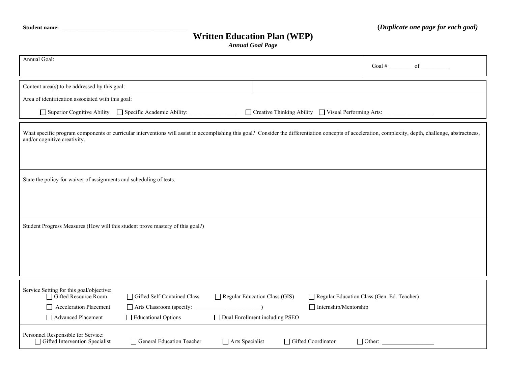## **Written Education Plan (WEP)**

*Annual Goal Page* 

| Annual Goal:                                                                                                                                                                                                                            |                                                                                                |                                                                          |  |                              |                                                       | Goal # $\qquad$ of $\qquad$ |
|-----------------------------------------------------------------------------------------------------------------------------------------------------------------------------------------------------------------------------------------|------------------------------------------------------------------------------------------------|--------------------------------------------------------------------------|--|------------------------------|-------------------------------------------------------|-----------------------------|
| Content area(s) to be addressed by this goal:                                                                                                                                                                                           |                                                                                                |                                                                          |  |                              |                                                       |                             |
| Area of identification associated with this goal:                                                                                                                                                                                       |                                                                                                |                                                                          |  |                              |                                                       |                             |
|                                                                                                                                                                                                                                         | □ Superior Cognitive Ability □ Specific Academic Ability: ______________________               |                                                                          |  |                              | □ Creative Thinking Ability □ Visual Performing Arts: |                             |
| What specific program components or curricular interventions will assist in accomplishing this goal? Consider the differentiation concepts of acceleration, complexity, depth, challenge, abstractness,<br>and/or cognitive creativity. |                                                                                                |                                                                          |  |                              |                                                       |                             |
| State the policy for waiver of assignments and scheduling of tests.                                                                                                                                                                     |                                                                                                |                                                                          |  |                              |                                                       |                             |
| Student Progress Measures (How will this student prove mastery of this goal?)                                                                                                                                                           |                                                                                                |                                                                          |  |                              |                                                       |                             |
| Service Setting for this goal/objective:<br>Gifted Resource Room<br><b>Acceleration Placement</b><br>Advanced Placement                                                                                                                 | Gifted Self-Contained Class<br>$\Box$ Arts Classroom (specify: $\Box$ )<br>Educational Options | $\Box$ Regular Education Class (GIS)<br>□ Dual Enrollment including PSEO |  | $\Box$ Internship/Mentorship | Regular Education Class (Gen. Ed. Teacher)            |                             |
| Personnel Responsible for Service:<br>Gifted Intervention Specialist                                                                                                                                                                    | General Education Teacher                                                                      | Arts Specialist                                                          |  | Gifted Coordinator           | $\Box$ Other:                                         |                             |